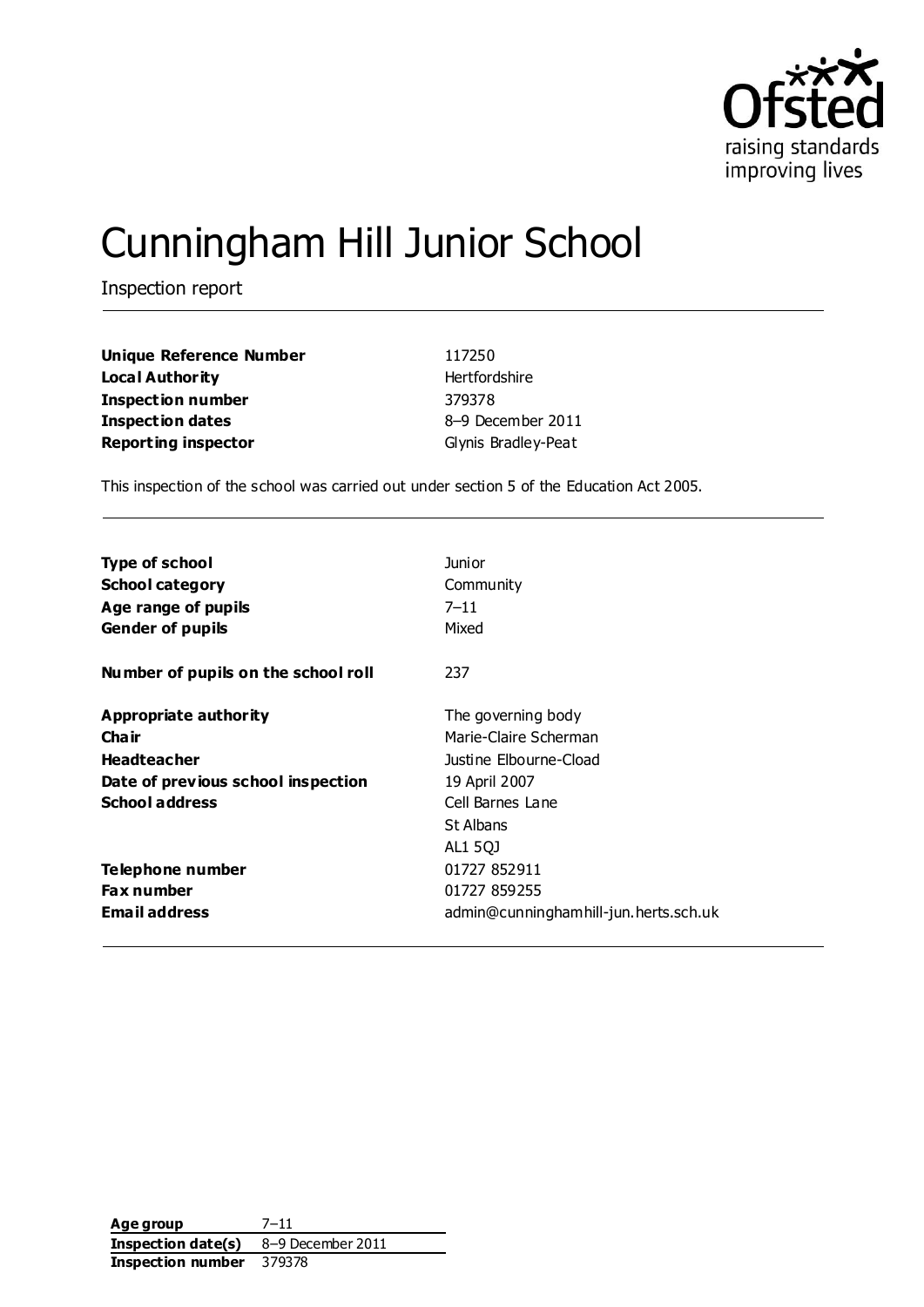

# Cunningham Hill Junior School

Inspection report

| Unique Reference Number    | 117250              |
|----------------------------|---------------------|
| Local Authority            | Hertfordshire       |
| <b>Inspection number</b>   | 379378              |
| Inspection dates           | 8-9 December 2011   |
| <b>Reporting inspector</b> | Glynis Bradley-Peat |

This inspection of the school was carried out under section 5 of the Education Act 2005.

| <b>Type of school</b>               | <b>Junior</b>                         |
|-------------------------------------|---------------------------------------|
| <b>School category</b>              | Community                             |
| Age range of pupils                 | $7 - 11$                              |
| <b>Gender of pupils</b>             | Mixed                                 |
| Number of pupils on the school roll | 237                                   |
| Appropriate authority               | The governing body                    |
| Cha ir                              | Marie-Claire Scherman                 |
| <b>Headteacher</b>                  | Justine Elbourne-Cload                |
| Date of previous school inspection  | 19 April 2007                         |
| <b>School address</b>               | Cell Barnes Lane                      |
|                                     | St Albans                             |
|                                     | AL1 5QJ                               |
| Telephone number                    | 01727 852911                          |
| <b>Fax number</b>                   | 01727 859255                          |
| <b>Email address</b>                | admin@cunninghamhill-jun.herts.sch.uk |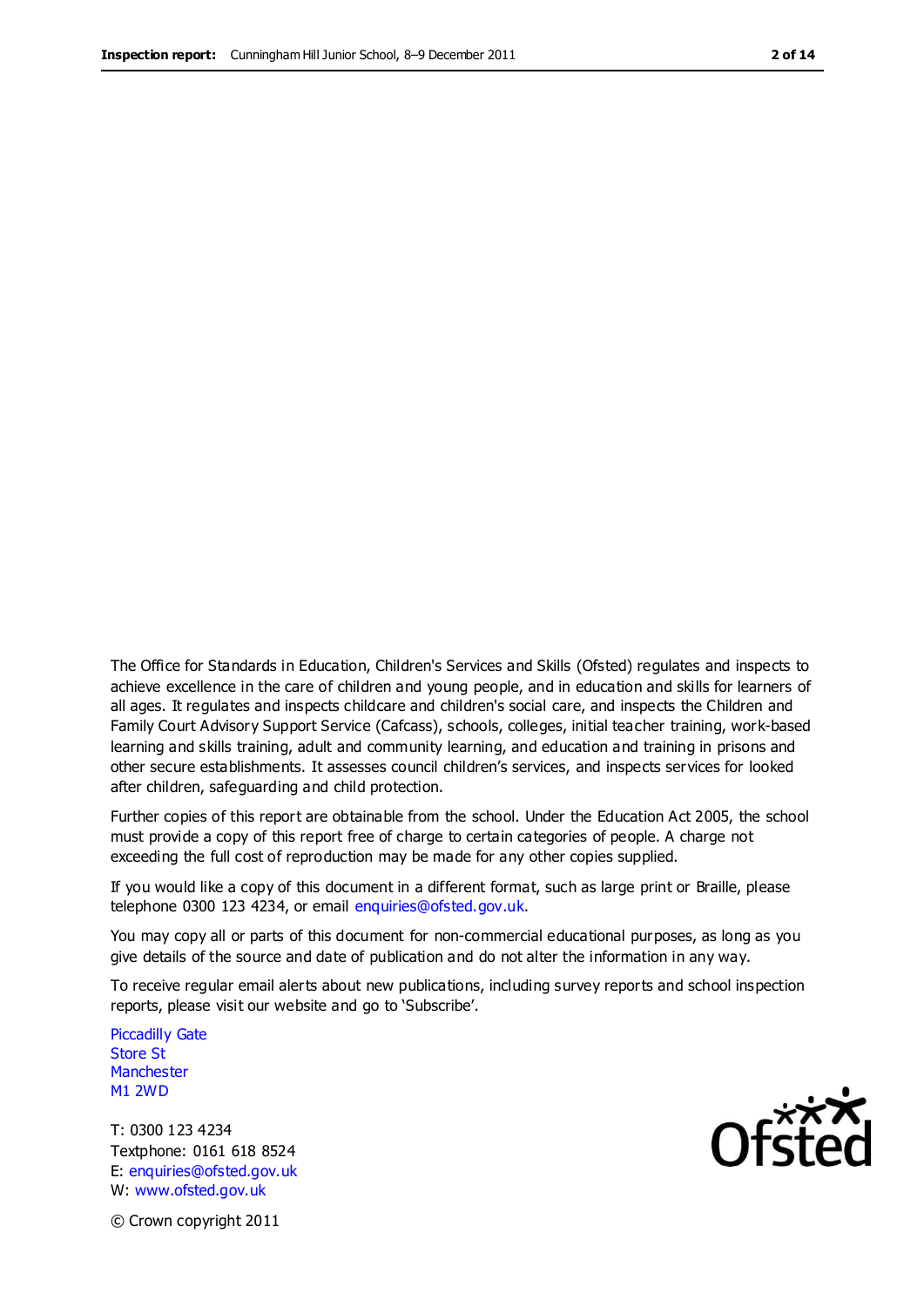The Office for Standards in Education, Children's Services and Skills (Ofsted) regulates and inspects to achieve excellence in the care of children and young people, and in education and skills for learners of all ages. It regulates and inspects childcare and children's social care, and inspects the Children and Family Court Advisory Support Service (Cafcass), schools, colleges, initial teacher training, work-based learning and skills training, adult and community learning, and education and training in prisons and other secure establishments. It assesses council children's services, and inspects services for looked after children, safeguarding and child protection.

Further copies of this report are obtainable from the school. Under the Education Act 2005, the school must provide a copy of this report free of charge to certain categories of people. A charge not exceeding the full cost of reproduction may be made for any other copies supplied.

If you would like a copy of this document in a different format, such as large print or Braille, please telephone 0300 123 4234, or email enquiries@ofsted.gov.uk.

You may copy all or parts of this document for non-commercial educational purposes, as long as you give details of the source and date of publication and do not alter the information in any way.

To receive regular email alerts about new publications, including survey reports and school inspection reports, please visit our website and go to 'Subscribe'.

Piccadilly Gate Store St **Manchester** M1 2WD

T: 0300 123 4234 Textphone: 0161 618 8524 E: enquiries@ofsted.gov.uk W: www.ofsted.gov.uk

Ofsted

© Crown copyright 2011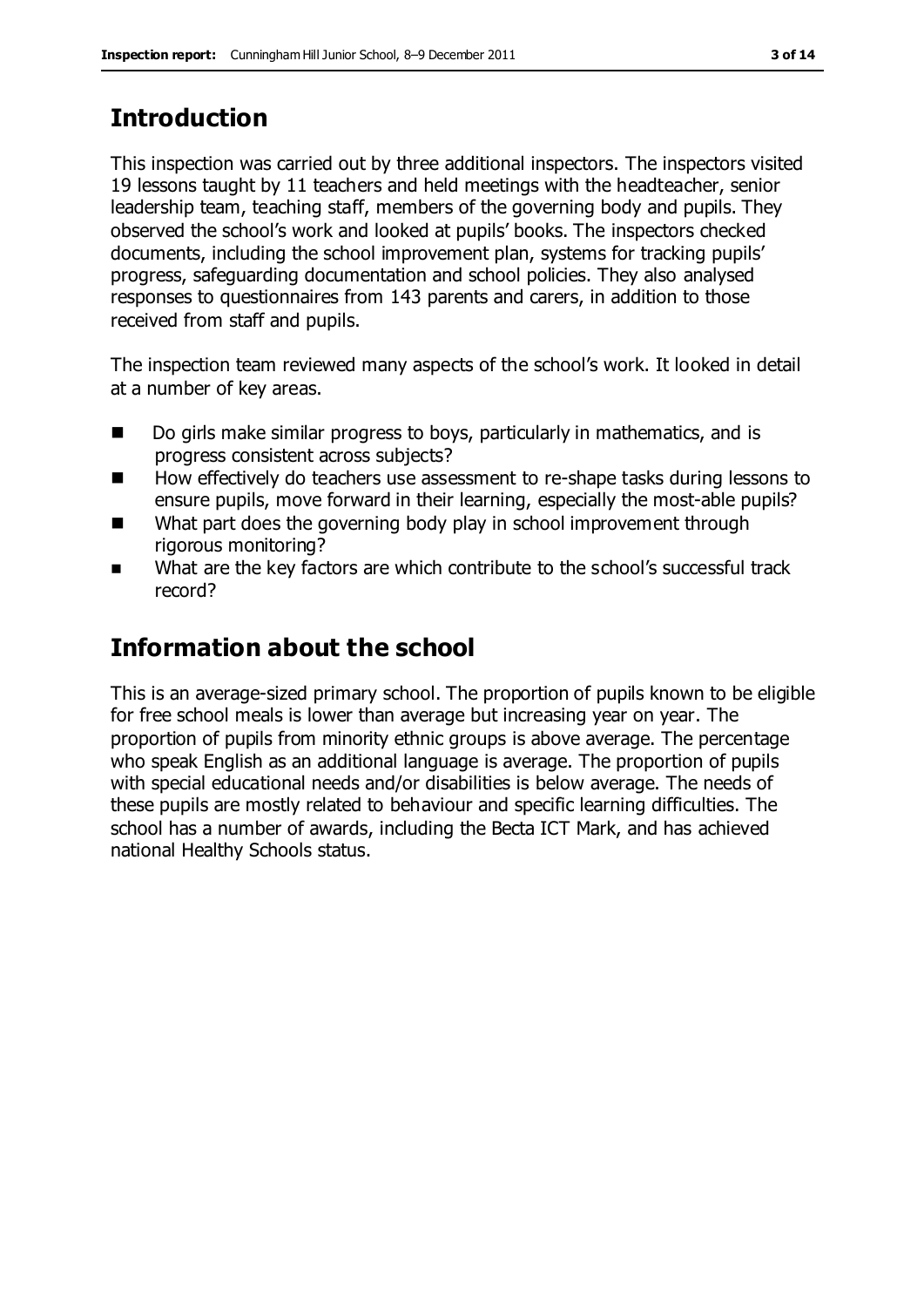# **Introduction**

This inspection was carried out by three additional inspectors. The inspectors visited 19 lessons taught by 11 teachers and held meetings with the headteacher, senior leadership team, teaching staff, members of the governing body and pupils. They observed the school's work and looked at pupils' books. The inspectors checked documents, including the school improvement plan, systems for tracking pupils' progress, safeguarding documentation and school policies. They also analysed responses to questionnaires from 143 parents and carers, in addition to those received from staff and pupils.

The inspection team reviewed many aspects of the school's work. It looked in detail at a number of key areas.

- Do girls make similar progress to boys, particularly in mathematics, and is progress consistent across subjects?
- How effectively do teachers use assessment to re-shape tasks during lessons to ensure pupils, move forward in their learning, especially the most-able pupils?
- What part does the governing body play in school improvement through rigorous monitoring?
- What are the key factors are which contribute to the school's successful track record?

# **Information about the school**

This is an average-sized primary school. The proportion of pupils known to be eligible for free school meals is lower than average but increasing year on year. The proportion of pupils from minority ethnic groups is above average. The percentage who speak English as an additional language is average. The proportion of pupils with special educational needs and/or disabilities is below average. The needs of these pupils are mostly related to behaviour and specific learning difficulties. The school has a number of awards, including the Becta ICT Mark, and has achieved national Healthy Schools status.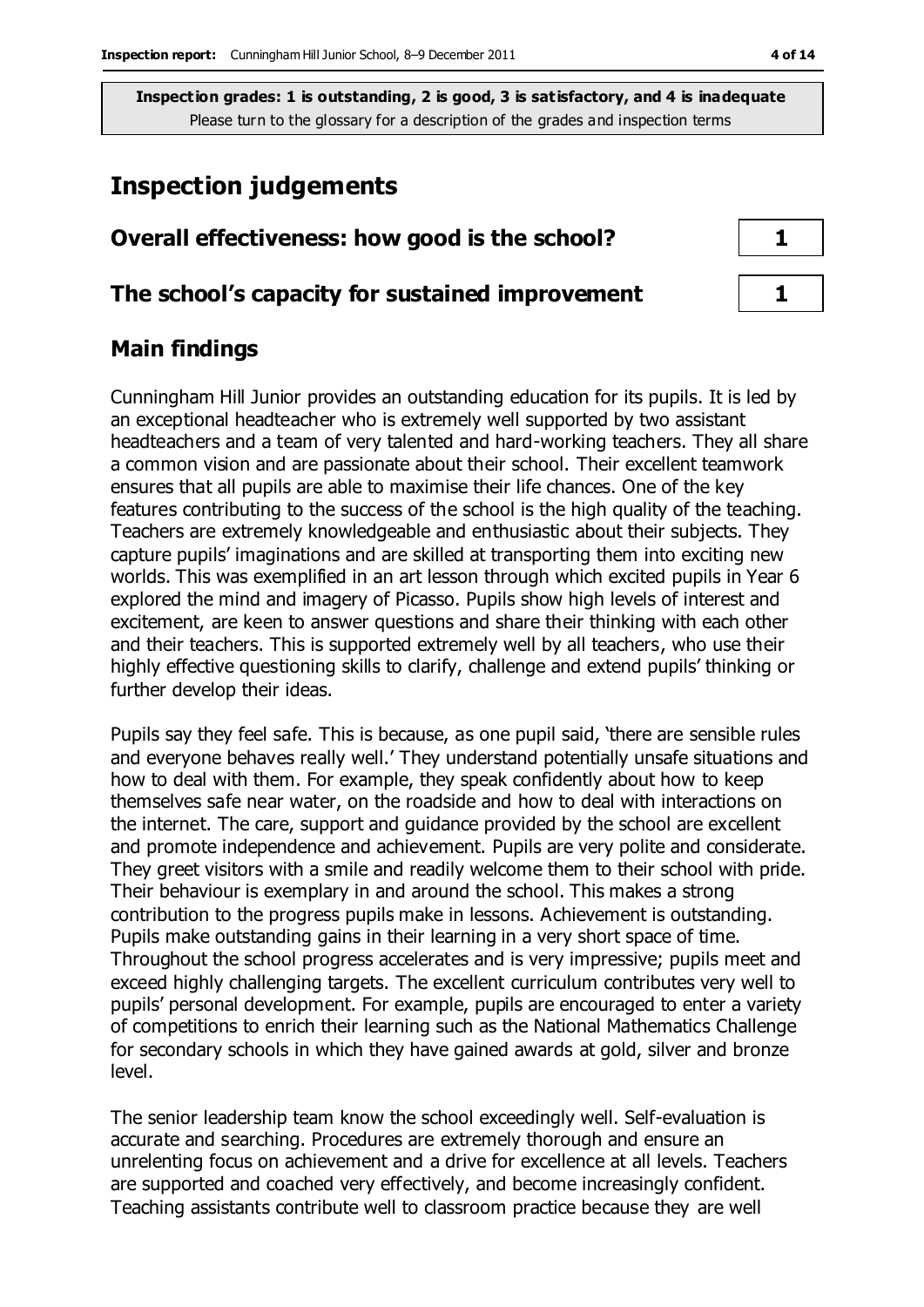## **Inspection judgements**

| Overall effectiveness: how good is the school?  |  |  |
|-------------------------------------------------|--|--|
| The school's capacity for sustained improvement |  |  |

#### **Main findings**

Cunningham Hill Junior provides an outstanding education for its pupils. It is led by an exceptional headteacher who is extremely well supported by two assistant headteachers and a team of very talented and hard-working teachers. They all share a common vision and are passionate about their school. Their excellent teamwork ensures that all pupils are able to maximise their life chances. One of the key features contributing to the success of the school is the high quality of the teaching. Teachers are extremely knowledgeable and enthusiastic about their subjects. They capture pupils' imaginations and are skilled at transporting them into exciting new worlds. This was exemplified in an art lesson through which excited pupils in Year 6 explored the mind and imagery of Picasso. Pupils show high levels of interest and excitement, are keen to answer questions and share their thinking with each other and their teachers. This is supported extremely well by all teachers, who use their highly effective questioning skills to clarify, challenge and extend pupils' thinking or further develop their ideas.

Pupils say they feel safe. This is because, as one pupil said, 'there are sensible rules and everyone behaves really well.' They understand potentially unsafe situations and how to deal with them. For example, they speak confidently about how to keep themselves safe near water, on the roadside and how to deal with interactions on the internet. The care, support and guidance provided by the school are excellent and promote independence and achievement. Pupils are very polite and considerate. They greet visitors with a smile and readily welcome them to their school with pride. Their behaviour is exemplary in and around the school. This makes a strong contribution to the progress pupils make in lessons. Achievement is outstanding. Pupils make outstanding gains in their learning in a very short space of time. Throughout the school progress accelerates and is very impressive; pupils meet and exceed highly challenging targets. The excellent curriculum contributes very well to pupils' personal development. For example, pupils are encouraged to enter a variety of competitions to enrich their learning such as the National Mathematics Challenge for secondary schools in which they have gained awards at gold, silver and bronze level.

The senior leadership team know the school exceedingly well. Self-evaluation is accurate and searching. Procedures are extremely thorough and ensure an unrelenting focus on achievement and a drive for excellence at all levels. Teachers are supported and coached very effectively, and become increasingly confident. Teaching assistants contribute well to classroom practice because they are well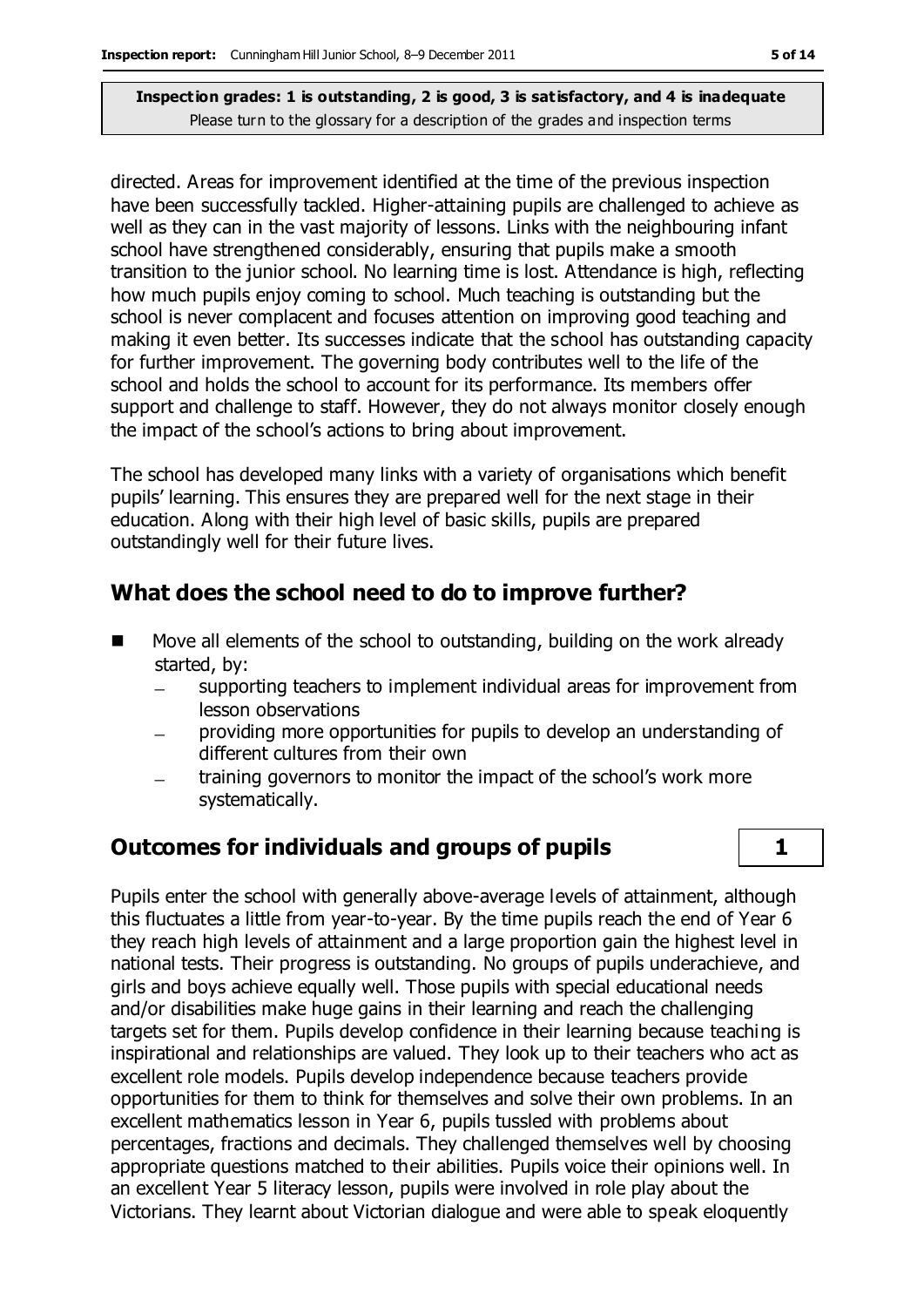directed. Areas for improvement identified at the time of the previous inspection have been successfully tackled. Higher-attaining pupils are challenged to achieve as well as they can in the vast majority of lessons. Links with the neighbouring infant school have strengthened considerably, ensuring that pupils make a smooth transition to the junior school. No learning time is lost. Attendance is high, reflecting how much pupils enjoy coming to school. Much teaching is outstanding but the school is never complacent and focuses attention on improving good teaching and making it even better. Its successes indicate that the school has outstanding capacity for further improvement. The governing body contributes well to the life of the school and holds the school to account for its performance. Its members offer support and challenge to staff. However, they do not always monitor closely enough the impact of the school's actions to bring about improvement.

The school has developed many links with a variety of organisations which benefit pupils' learning. This ensures they are prepared well for the next stage in their education. Along with their high level of basic skills, pupils are prepared outstandingly well for their future lives.

#### **What does the school need to do to improve further?**

- Move all elements of the school to outstanding, building on the work already started, by:
	- supporting teachers to implement individual areas for improvement from lesson observations
	- providing more opportunities for pupils to develop an understanding of different cultures from their own
	- training governors to monitor the impact of the school's work more systematically.

#### **Outcomes for individuals and groups of pupils 1**

Pupils enter the school with generally above-average levels of attainment, although this fluctuates a little from year-to-year. By the time pupils reach the end of Year 6 they reach high levels of attainment and a large proportion gain the highest level in national tests. Their progress is outstanding. No groups of pupils underachieve, and girls and boys achieve equally well. Those pupils with special educational needs and/or disabilities make huge gains in their learning and reach the challenging targets set for them. Pupils develop confidence in their learning because teaching is inspirational and relationships are valued. They look up to their teachers who act as excellent role models. Pupils develop independence because teachers provide opportunities for them to think for themselves and solve their own problems. In an excellent mathematics lesson in Year 6, pupils tussled with problems about percentages, fractions and decimals. They challenged themselves well by choosing appropriate questions matched to their abilities. Pupils voice their opinions well. In an excellent Year 5 literacy lesson, pupils were involved in role play about the Victorians. They learnt about Victorian dialogue and were able to speak eloquently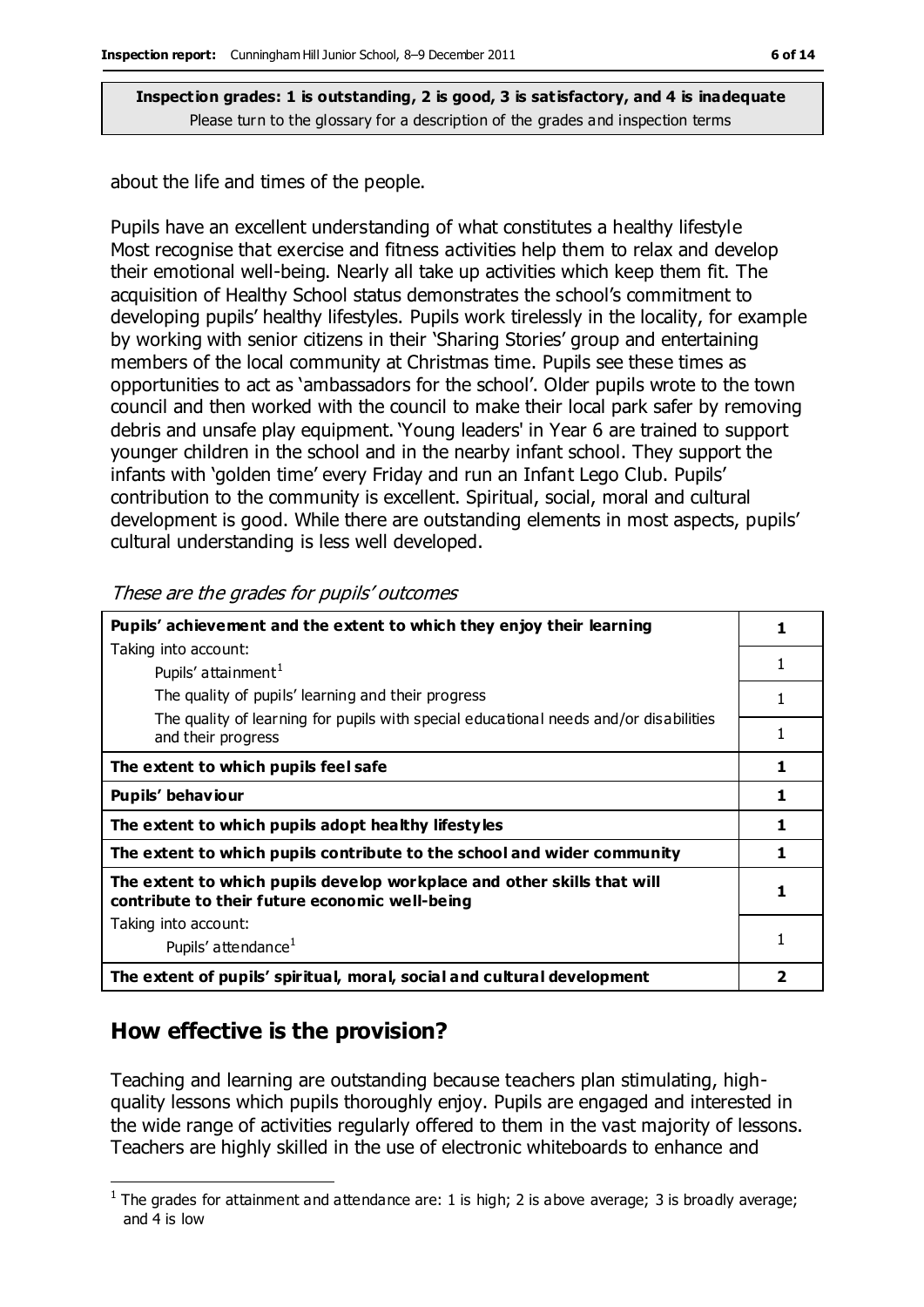about the life and times of the people.

Pupils have an excellent understanding of what constitutes a healthy lifestyle Most recognise that exercise and fitness activities help them to relax and develop their emotional well-being. Nearly all take up activities which keep them fit. The acquisition of Healthy School status demonstrates the school's commitment to developing pupils' healthy lifestyles. Pupils work tirelessly in the locality, for example by working with senior citizens in their 'Sharing Stories' group and entertaining members of the local community at Christmas time. Pupils see these times as opportunities to act as 'ambassadors for the school'. Older pupils wrote to the town council and then worked with the council to make their local park safer by removing debris and unsafe play equipment. 'Young leaders' in Year 6 are trained to support younger children in the school and in the nearby infant school. They support the infants with 'golden time' every Friday and run an Infant Lego Club. Pupils' contribution to the community is excellent. Spiritual, social, moral and cultural development is good. While there are outstanding elements in most aspects, pupils' cultural understanding is less well developed.

**Pupils' achievement and the extent to which they enjoy their learning** Taking into account: Pupils' attainment<sup>1</sup> The quality of pupils' learning and their progress The quality of learning for pupils with special educational needs and/or disabilities and their progress **1** 1 1 1 **The extent to which pupils feel safe 1 Pupils' behaviour 1** The extent to which pupils adopt healthy lifestyles **1** 1 **The extent to which pupils contribute to the school and wider community 1 The extent to which pupils develop workplace and other skills that will contribute to their future economic well-being** Taking into account: Pupils' attendance<sup>1</sup> **1** 1 **The extent of pupils' spiritual, moral, social and cultural development 2**

These are the grades for pupils' outcomes

### **How effective is the provision?**

Teaching and learning are outstanding because teachers plan stimulating, highquality lessons which pupils thoroughly enjoy. Pupils are engaged and interested in the wide range of activities regularly offered to them in the vast majority of lessons. Teachers are highly skilled in the use of electronic whiteboards to enhance and

 $\overline{a}$ <sup>1</sup> The grades for attainment and attendance are: 1 is high; 2 is above average; 3 is broadly average; and 4 is low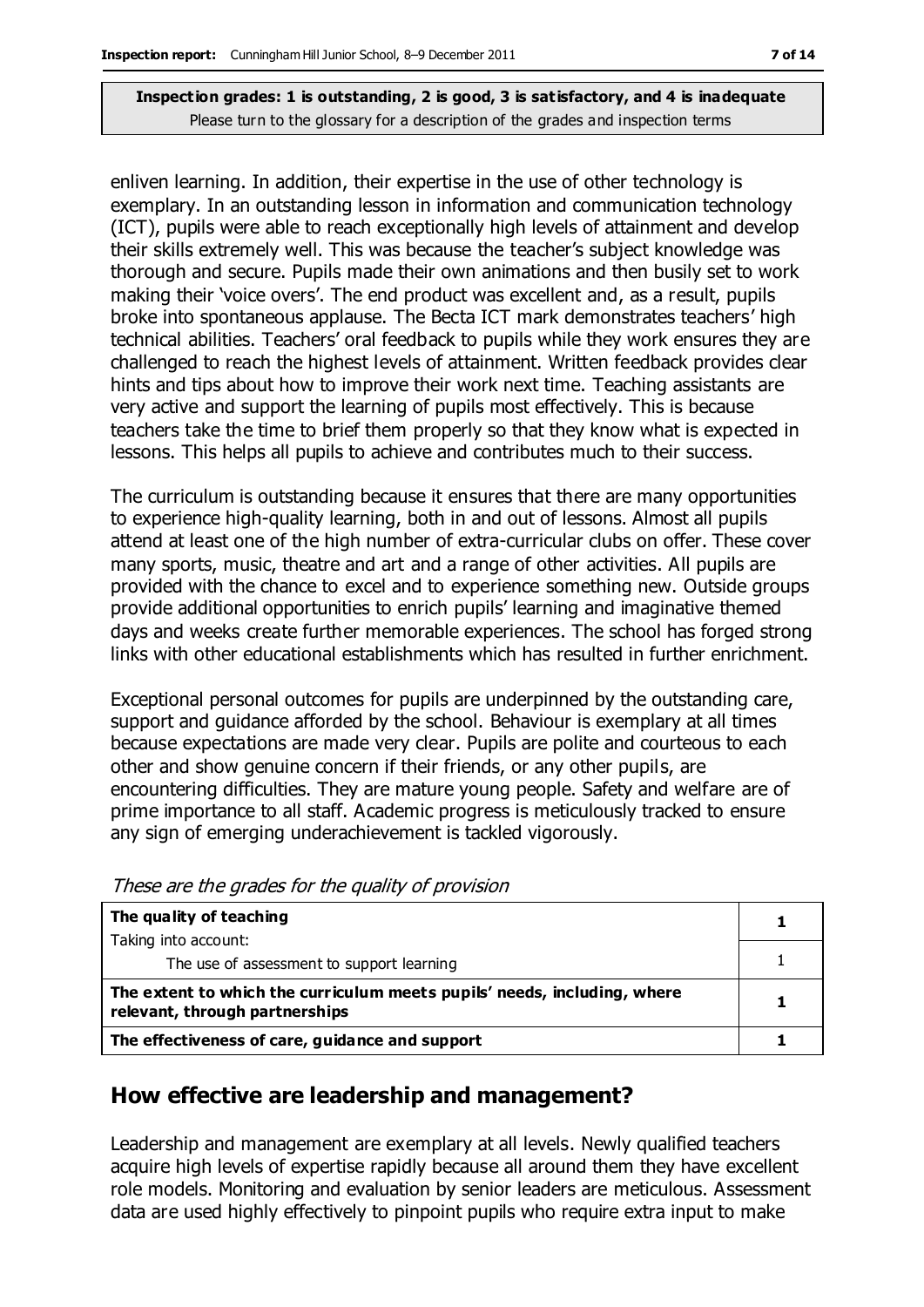enliven learning. In addition, their expertise in the use of other technology is exemplary. In an outstanding lesson in information and communication technology (ICT), pupils were able to reach exceptionally high levels of attainment and develop their skills extremely well. This was because the teacher's subject knowledge was thorough and secure. Pupils made their own animations and then busily set to work making their 'voice overs'. The end product was excellent and, as a result, pupils broke into spontaneous applause. The Becta ICT mark demonstrates teachers' high technical abilities. Teachers' oral feedback to pupils while they work ensures they are challenged to reach the highest levels of attainment. Written feedback provides clear hints and tips about how to improve their work next time. Teaching assistants are very active and support the learning of pupils most effectively. This is because teachers take the time to brief them properly so that they know what is expected in lessons. This helps all pupils to achieve and contributes much to their success.

The curriculum is outstanding because it ensures that there are many opportunities to experience high-quality learning, both in and out of lessons. Almost all pupils attend at least one of the high number of extra-curricular clubs on offer. These cover many sports, music, theatre and art and a range of other activities. All pupils are provided with the chance to excel and to experience something new. Outside groups provide additional opportunities to enrich pupils' learning and imaginative themed days and weeks create further memorable experiences. The school has forged strong links with other educational establishments which has resulted in further enrichment.

Exceptional personal outcomes for pupils are underpinned by the outstanding care, support and guidance afforded by the school. Behaviour is exemplary at all times because expectations are made very clear. Pupils are polite and courteous to each other and show genuine concern if their friends, or any other pupils, are encountering difficulties. They are mature young people. Safety and welfare are of prime importance to all staff. Academic progress is meticulously tracked to ensure any sign of emerging underachievement is tackled vigorously.

These are the grades for the quality of provision

| The quality of teaching                                                                                    |  |
|------------------------------------------------------------------------------------------------------------|--|
| Taking into account:                                                                                       |  |
| The use of assessment to support learning                                                                  |  |
| The extent to which the curriculum meets pupils' needs, including, where<br>relevant, through partnerships |  |
| The effectiveness of care, guidance and support                                                            |  |

#### **How effective are leadership and management?**

Leadership and management are exemplary at all levels. Newly qualified teachers acquire high levels of expertise rapidly because all around them they have excellent role models. Monitoring and evaluation by senior leaders are meticulous. Assessment data are used highly effectively to pinpoint pupils who require extra input to make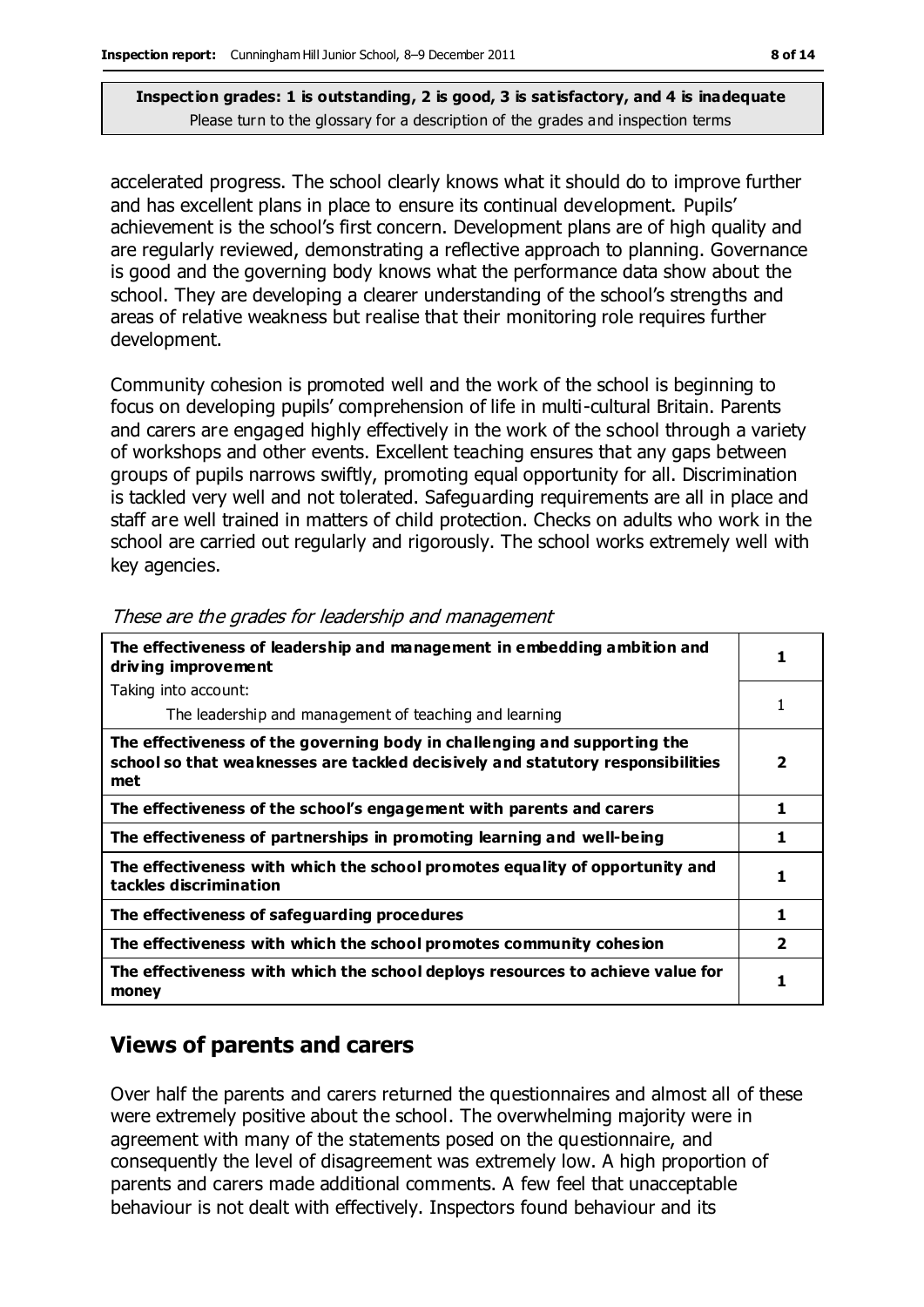accelerated progress. The school clearly knows what it should do to improve further and has excellent plans in place to ensure its continual development. Pupils' achievement is the school's first concern. Development plans are of high quality and are regularly reviewed, demonstrating a reflective approach to planning. Governance is good and the governing body knows what the performance data show about the school. They are developing a clearer understanding of the school's strengths and areas of relative weakness but realise that their monitoring role requires further development.

Community cohesion is promoted well and the work of the school is beginning to focus on developing pupils' comprehension of life in multi-cultural Britain. Parents and carers are engaged highly effectively in the work of the school through a variety of workshops and other events. Excellent teaching ensures that any gaps between groups of pupils narrows swiftly, promoting equal opportunity for all. Discrimination is tackled very well and not tolerated. Safeguarding requirements are all in place and staff are well trained in matters of child protection. Checks on adults who work in the school are carried out regularly and rigorously. The school works extremely well with key agencies.

| The effectiveness of leadership and management in embedding ambition and<br>driving improvement                                                                     |                         |
|---------------------------------------------------------------------------------------------------------------------------------------------------------------------|-------------------------|
| Taking into account:                                                                                                                                                |                         |
| The leadership and management of teaching and learning                                                                                                              | 1                       |
| The effectiveness of the governing body in challenging and supporting the<br>school so that weaknesses are tackled decisively and statutory responsibilities<br>met | $\overline{\mathbf{2}}$ |
| The effectiveness of the school's engagement with parents and carers                                                                                                | 1                       |
| The effectiveness of partnerships in promoting learning and well-being                                                                                              | 1                       |
| The effectiveness with which the school promotes equality of opportunity and<br>tackles discrimination                                                              | 1                       |
| The effectiveness of safeguarding procedures                                                                                                                        | 1                       |
| The effectiveness with which the school promotes community cohesion                                                                                                 | $\overline{\mathbf{2}}$ |
| The effectiveness with which the school deploys resources to achieve value for<br>money                                                                             |                         |

These are the grades for leadership and management

### **Views of parents and carers**

Over half the parents and carers returned the questionnaires and almost all of these were extremely positive about the school. The overwhelming majority were in agreement with many of the statements posed on the questionnaire, and consequently the level of disagreement was extremely low. A high proportion of parents and carers made additional comments. A few feel that unacceptable behaviour is not dealt with effectively. Inspectors found behaviour and its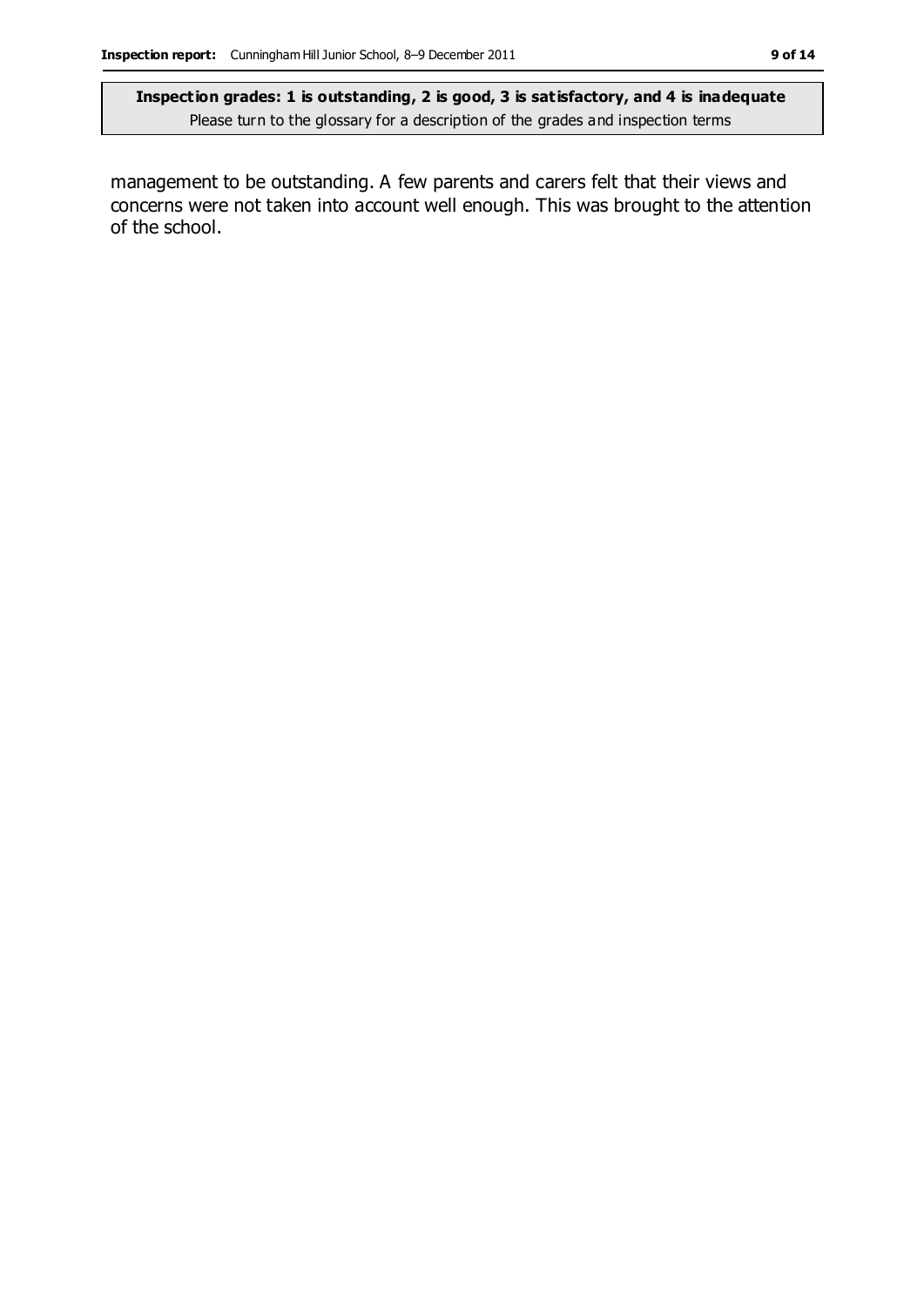management to be outstanding. A few parents and carers felt that their views and concerns were not taken into account well enough. This was brought to the attention of the school.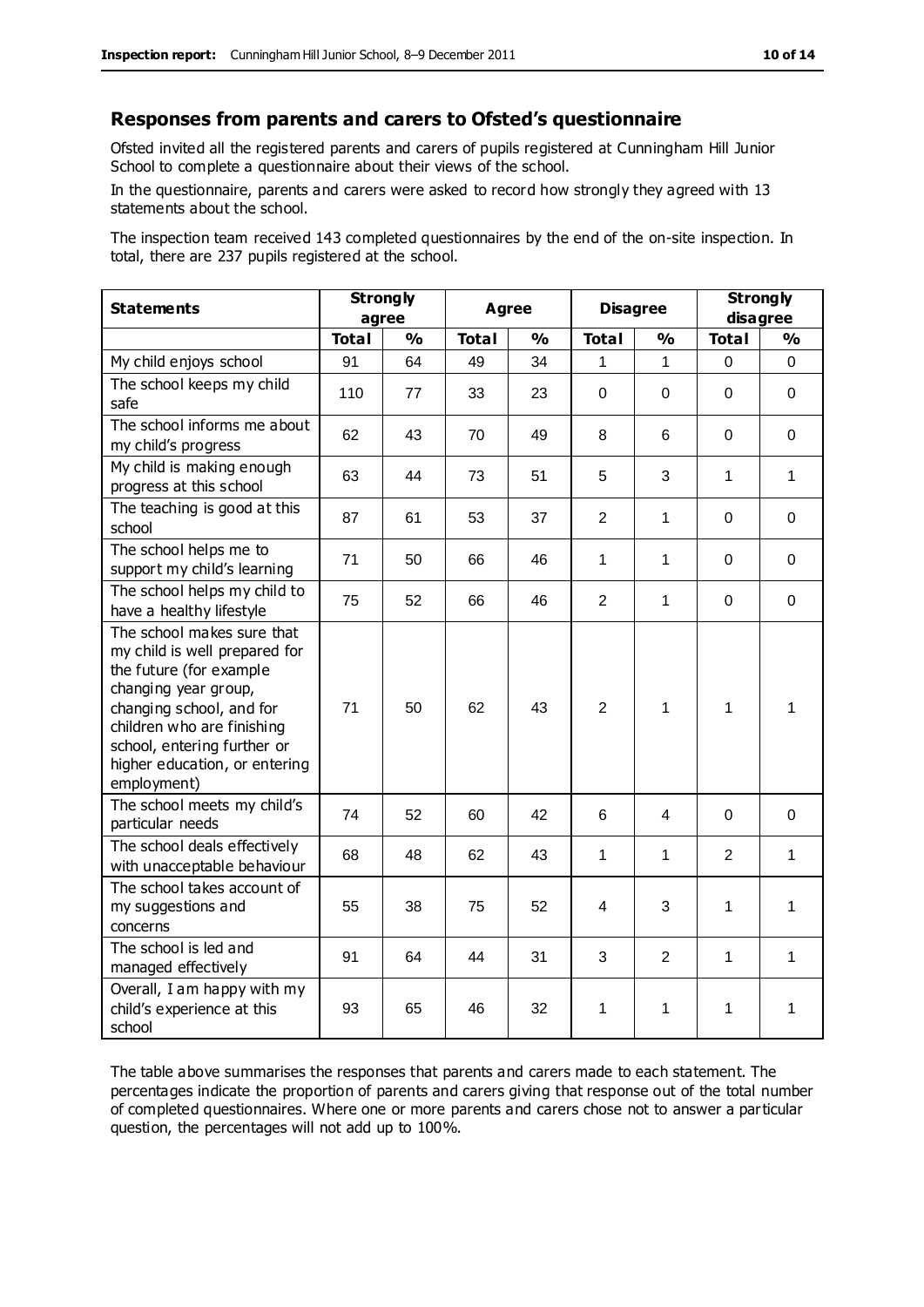#### **Responses from parents and carers to Ofsted's questionnaire**

Ofsted invited all the registered parents and carers of pupils registered at Cunningham Hill Junior School to complete a questionnaire about their views of the school.

In the questionnaire, parents and carers were asked to record how strongly they agreed with 13 statements about the school.

The inspection team received 143 completed questionnaires by the end of the on-site inspection. In total, there are 237 pupils registered at the school.

| <b>Statements</b>                                                                                                                                                                                                                                       | <b>Strongly</b><br>agree |               | <b>Agree</b> |               | <b>Disagree</b> |               | <b>Strongly</b><br>disagree |               |
|---------------------------------------------------------------------------------------------------------------------------------------------------------------------------------------------------------------------------------------------------------|--------------------------|---------------|--------------|---------------|-----------------|---------------|-----------------------------|---------------|
|                                                                                                                                                                                                                                                         | <b>Total</b>             | $\frac{1}{2}$ | <b>Total</b> | $\frac{1}{2}$ | <b>Total</b>    | $\frac{0}{0}$ | <b>Total</b>                | $\frac{1}{2}$ |
| My child enjoys school                                                                                                                                                                                                                                  | 91                       | 64            | 49           | 34            | 1               | 1             | 0                           | 0             |
| The school keeps my child<br>safe                                                                                                                                                                                                                       | 110                      | 77            | 33           | 23            | 0               | 0             | $\mathbf 0$                 | 0             |
| The school informs me about<br>my child's progress                                                                                                                                                                                                      | 62                       | 43            | 70           | 49            | 8               | 6             | $\mathbf 0$                 | $\mathbf 0$   |
| My child is making enough<br>progress at this school                                                                                                                                                                                                    | 63                       | 44            | 73           | 51            | 5               | 3             | 1                           | 1             |
| The teaching is good at this<br>school                                                                                                                                                                                                                  | 87                       | 61            | 53           | 37            | $\overline{2}$  | 1             | $\mathbf 0$                 | $\Omega$      |
| The school helps me to<br>support my child's learning                                                                                                                                                                                                   | 71                       | 50            | 66           | 46            | 1               | 1             | $\Omega$                    | 0             |
| The school helps my child to<br>have a healthy lifestyle                                                                                                                                                                                                | 75                       | 52            | 66           | 46            | $\overline{2}$  | 1             | $\Omega$                    | $\mathbf 0$   |
| The school makes sure that<br>my child is well prepared for<br>the future (for example<br>changing year group,<br>changing school, and for<br>children who are finishing<br>school, entering further or<br>higher education, or entering<br>employment) | 71                       | 50            | 62           | 43            | $\overline{2}$  | 1             | 1                           | 1             |
| The school meets my child's<br>particular needs                                                                                                                                                                                                         | 74                       | 52            | 60           | 42            | 6               | 4             | $\mathbf 0$                 | 0             |
| The school deals effectively<br>with unacceptable behaviour                                                                                                                                                                                             | 68                       | 48            | 62           | 43            | 1               | 1             | $\overline{2}$              | 1             |
| The school takes account of<br>my suggestions and<br>concerns                                                                                                                                                                                           | 55                       | 38            | 75           | 52            | 4               | 3             | 1                           | 1             |
| The school is led and<br>managed effectively                                                                                                                                                                                                            | 91                       | 64            | 44           | 31            | 3               | 2             | $\mathbf{1}$                | 1             |
| Overall, I am happy with my<br>child's experience at this<br>school                                                                                                                                                                                     | 93                       | 65            | 46           | 32            | 1               | 1             | 1                           | 1             |

The table above summarises the responses that parents and carers made to each statement. The percentages indicate the proportion of parents and carers giving that response out of the total number of completed questionnaires. Where one or more parents and carers chose not to answer a particular question, the percentages will not add up to 100%.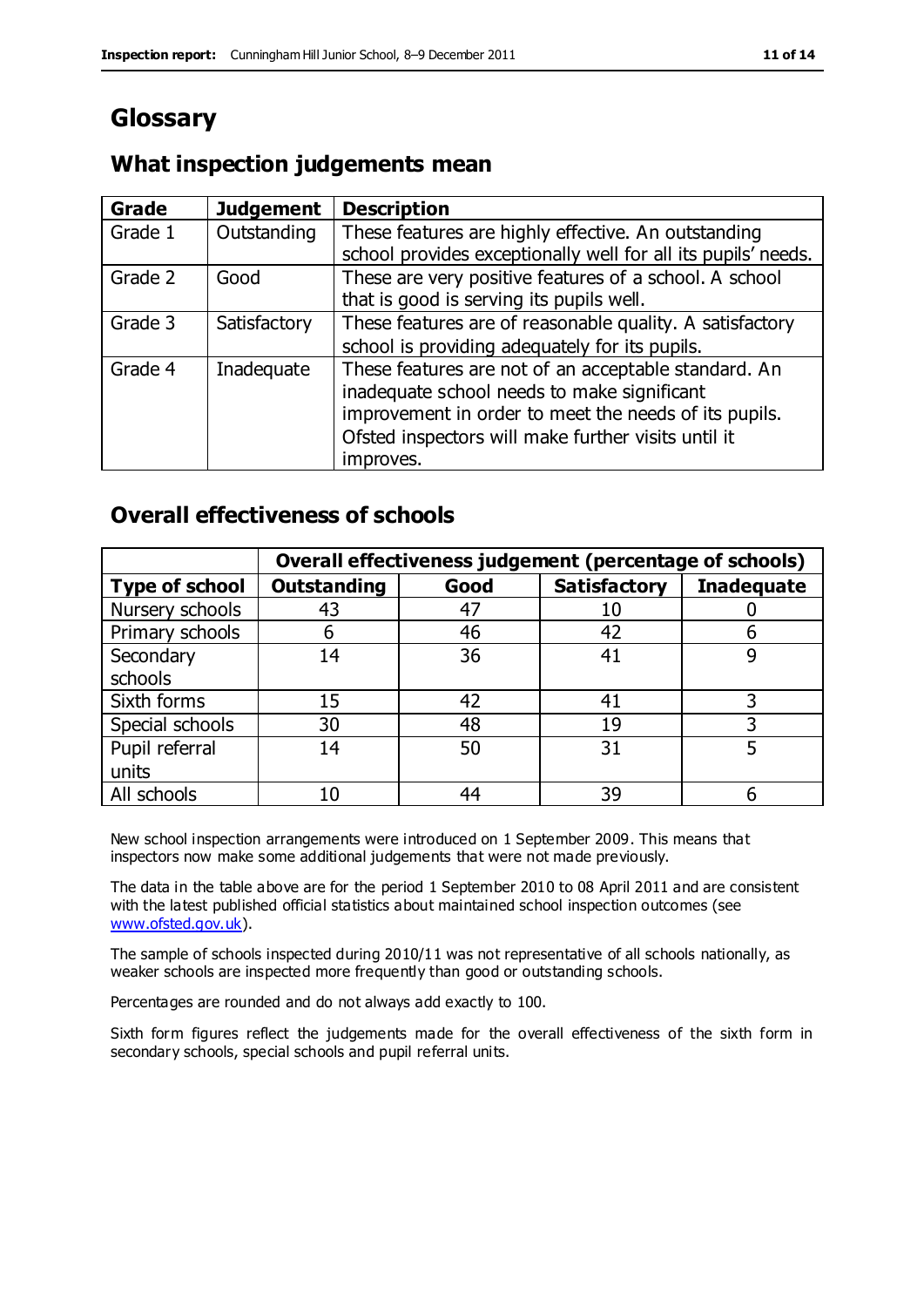# **Glossary**

#### **What inspection judgements mean**

| <b>Grade</b> | <b>Judgement</b> | <b>Description</b>                                                                                                                                                                                                               |
|--------------|------------------|----------------------------------------------------------------------------------------------------------------------------------------------------------------------------------------------------------------------------------|
| Grade 1      | Outstanding      | These features are highly effective. An outstanding<br>school provides exceptionally well for all its pupils' needs.                                                                                                             |
| Grade 2      | Good             | These are very positive features of a school. A school<br>that is good is serving its pupils well.                                                                                                                               |
| Grade 3      | Satisfactory     | These features are of reasonable quality. A satisfactory<br>school is providing adequately for its pupils.                                                                                                                       |
| Grade 4      | Inadequate       | These features are not of an acceptable standard. An<br>inadequate school needs to make significant<br>improvement in order to meet the needs of its pupils.<br>Ofsted inspectors will make further visits until it<br>improves. |

#### **Overall effectiveness of schools**

|                       | Overall effectiveness judgement (percentage of schools) |      |                     |                   |
|-----------------------|---------------------------------------------------------|------|---------------------|-------------------|
| <b>Type of school</b> | <b>Outstanding</b>                                      | Good | <b>Satisfactory</b> | <b>Inadequate</b> |
| Nursery schools       | 43                                                      | 47   | 10                  |                   |
| Primary schools       | 6                                                       | 46   | 42                  |                   |
| Secondary             | 14                                                      | 36   | 41                  |                   |
| schools               |                                                         |      |                     |                   |
| Sixth forms           | 15                                                      | 42   | 41                  | 3                 |
| Special schools       | 30                                                      | 48   | 19                  |                   |
| Pupil referral        | 14                                                      | 50   | 31                  |                   |
| units                 |                                                         |      |                     |                   |
| All schools           | 10                                                      | 44   | 39                  |                   |

New school inspection arrangements were introduced on 1 September 2009. This means that inspectors now make some additional judgements that were not made previously.

The data in the table above are for the period 1 September 2010 to 08 April 2011 and are consistent with the latest published official statistics about maintained school inspection outcomes (see [www.ofsted.gov.uk\)](http://www.ofsted.gov.uk/).

The sample of schools inspected during 2010/11 was not representative of all schools nationally, as weaker schools are inspected more frequently than good or outstanding schools.

Percentages are rounded and do not always add exactly to 100.

Sixth form figures reflect the judgements made for the overall effectiveness of the sixth form in secondary schools, special schools and pupil referral units.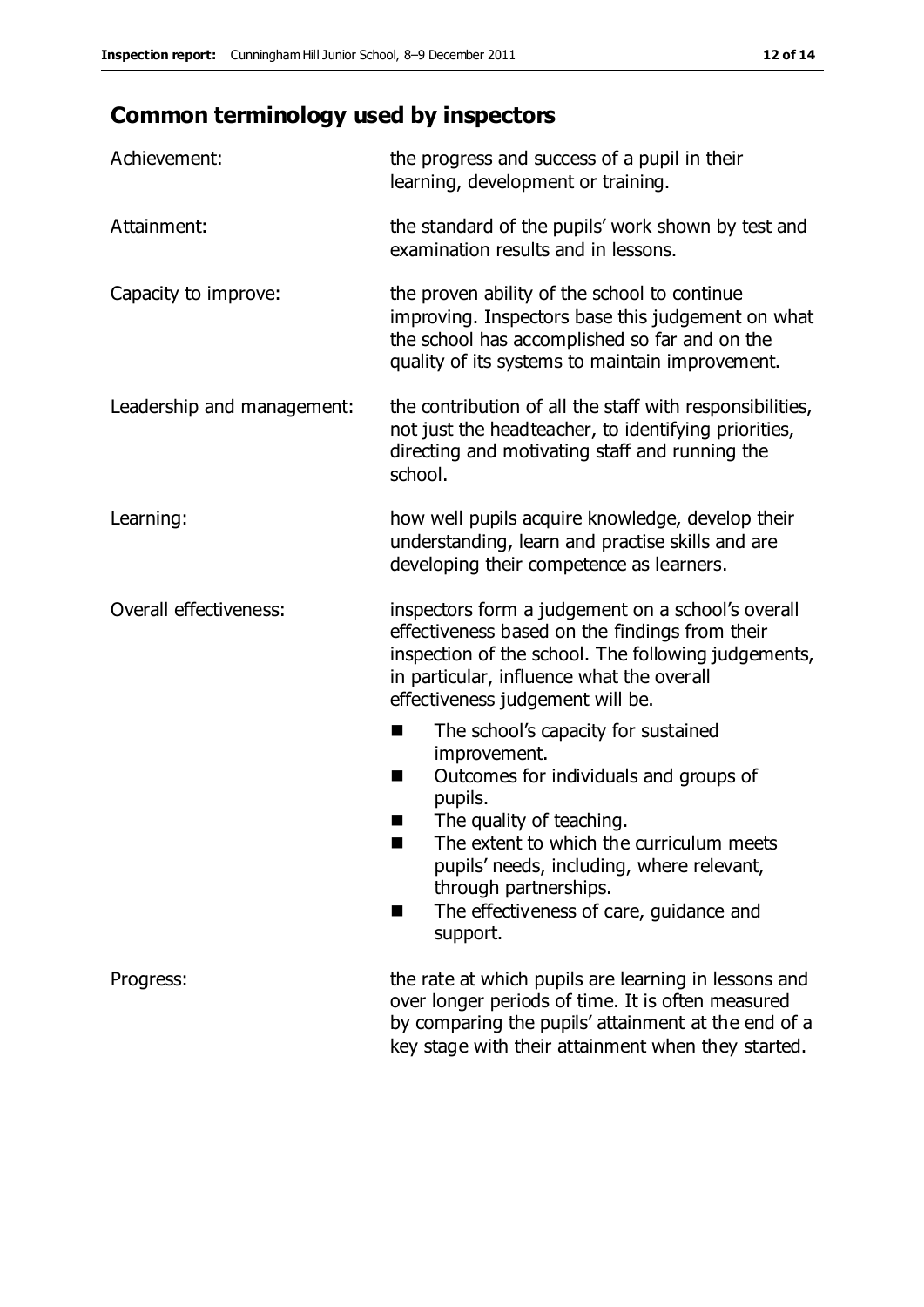# **Common terminology used by inspectors**

| Achievement:                  | the progress and success of a pupil in their<br>learning, development or training.                                                                                                                                                                                                                                           |  |  |
|-------------------------------|------------------------------------------------------------------------------------------------------------------------------------------------------------------------------------------------------------------------------------------------------------------------------------------------------------------------------|--|--|
| Attainment:                   | the standard of the pupils' work shown by test and<br>examination results and in lessons.                                                                                                                                                                                                                                    |  |  |
| Capacity to improve:          | the proven ability of the school to continue<br>improving. Inspectors base this judgement on what<br>the school has accomplished so far and on the<br>quality of its systems to maintain improvement.                                                                                                                        |  |  |
| Leadership and management:    | the contribution of all the staff with responsibilities,<br>not just the headteacher, to identifying priorities,<br>directing and motivating staff and running the<br>school.                                                                                                                                                |  |  |
| Learning:                     | how well pupils acquire knowledge, develop their<br>understanding, learn and practise skills and are<br>developing their competence as learners.                                                                                                                                                                             |  |  |
| <b>Overall effectiveness:</b> | inspectors form a judgement on a school's overall<br>effectiveness based on the findings from their<br>inspection of the school. The following judgements,<br>in particular, influence what the overall<br>effectiveness judgement will be.                                                                                  |  |  |
|                               | The school's capacity for sustained<br>■<br>improvement.<br>Outcomes for individuals and groups of<br>H<br>pupils.<br>The quality of teaching.<br>The extent to which the curriculum meets<br>pupils' needs, including, where relevant,<br>through partnerships.<br>The effectiveness of care, guidance and<br>٠<br>support. |  |  |
| Progress:                     | the rate at which pupils are learning in lessons and<br>over longer periods of time. It is often measured<br>by comparing the pupils' attainment at the end of a<br>key stage with their attainment when they started.                                                                                                       |  |  |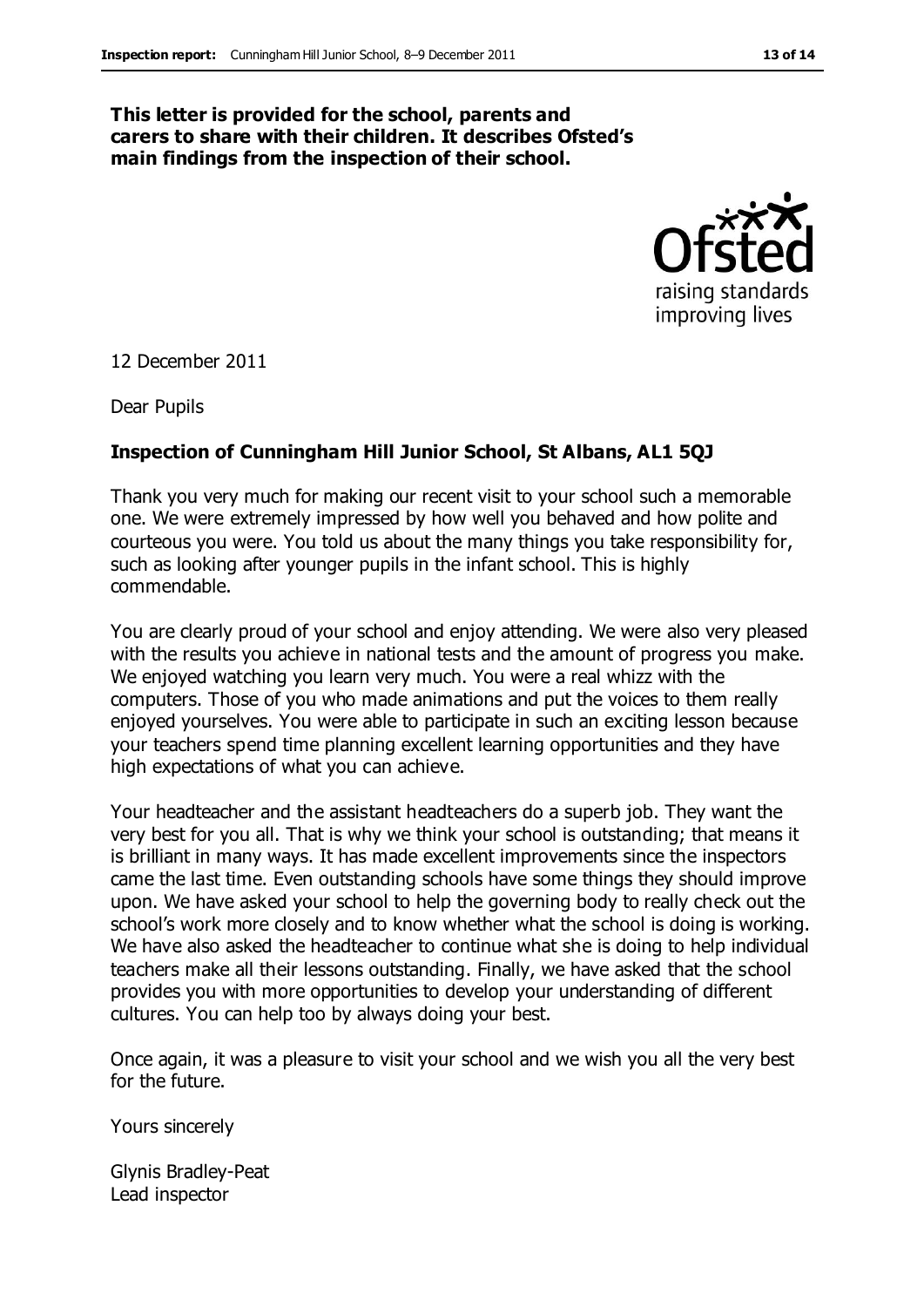#### **This letter is provided for the school, parents and carers to share with their children. It describes Ofsted's main findings from the inspection of their school.**



12 December 2011

Dear Pupils

#### **Inspection of Cunningham Hill Junior School, St Albans, AL1 5QJ**

Thank you very much for making our recent visit to your school such a memorable one. We were extremely impressed by how well you behaved and how polite and courteous you were. You told us about the many things you take responsibility for, such as looking after younger pupils in the infant school. This is highly commendable.

You are clearly proud of your school and enjoy attending. We were also very pleased with the results you achieve in national tests and the amount of progress you make. We enjoyed watching you learn very much. You were a real whizz with the computers. Those of you who made animations and put the voices to them really enjoyed yourselves. You were able to participate in such an exciting lesson because your teachers spend time planning excellent learning opportunities and they have high expectations of what you can achieve.

Your headteacher and the assistant headteachers do a superb job. They want the very best for you all. That is why we think your school is outstanding; that means it is brilliant in many ways. It has made excellent improvements since the inspectors came the last time. Even outstanding schools have some things they should improve upon. We have asked your school to help the governing body to really check out the school's work more closely and to know whether what the school is doing is working. We have also asked the headteacher to continue what she is doing to help individual teachers make all their lessons outstanding. Finally, we have asked that the school provides you with more opportunities to develop your understanding of different cultures. You can help too by always doing your best.

Once again, it was a pleasure to visit your school and we wish you all the very best for the future.

Yours sincerely

Glynis Bradley-Peat Lead inspector